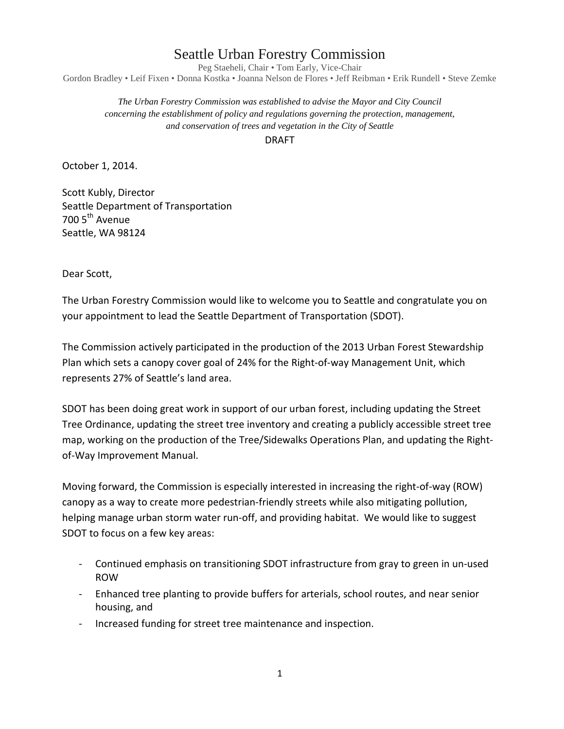## Seattle Urban Forestry Commission

Peg Staeheli, Chair • Tom Early, Vice-Chair Gordon Bradley • Leif Fixen • Donna Kostka • Joanna Nelson de Flores • Jeff Reibman • Erik Rundell • Steve Zemke

*The Urban Forestry Commission was established to advise the Mayor and City Council concerning the establishment of policy and regulations governing the protection, management, and conservation of trees and vegetation in the City of Seattle*

DRAFT

October 1, 2014.

Scott Kubly, Director Seattle Department of Transportation 700 5<sup>th</sup> Avenue Seattle, WA 98124

Dear Scott,

The Urban Forestry Commission would like to welcome you to Seattle and congratulate you on your appointment to lead the Seattle Department of Transportation (SDOT).

The Commission actively participated in the production of the 2013 Urban Forest Stewardship Plan which sets a canopy cover goal of 24% for the Right-of-way Management Unit, which represents 27% of Seattle's land area.

SDOT has been doing great work in support of our urban forest, including updating the Street Tree Ordinance, updating the street tree inventory and creating a publicly accessible street tree map, working on the production of the Tree/Sidewalks Operations Plan, and updating the Rightof-Way Improvement Manual.

Moving forward, the Commission is especially interested in increasing the right-of-way (ROW) canopy as a way to create more pedestrian-friendly streets while also mitigating pollution, helping manage urban storm water run-off, and providing habitat. We would like to suggest SDOT to focus on a few key areas:

- Continued emphasis on transitioning SDOT infrastructure from gray to green in un-used ROW
- Enhanced tree planting to provide buffers for arterials, school routes, and near senior housing, and
- Increased funding for street tree maintenance and inspection.